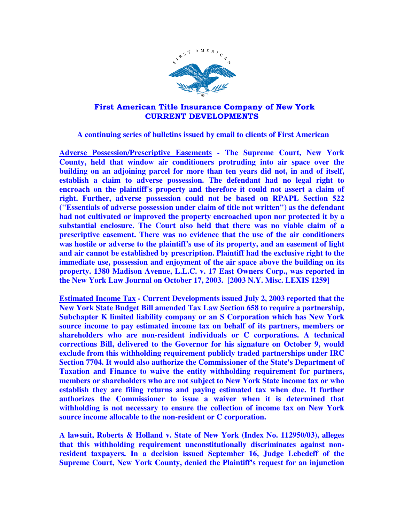

## First American Title Insurance Company of New York CURRENT DEVELOPMENTS

 **A continuing series of bulletins issued by email to clients of First American** 

**Adverse Possession/Prescriptive Easements - The Supreme Court, New York County, held that window air conditioners protruding into air space over the building on an adjoining parcel for more than ten years did not, in and of itself, establish a claim to adverse possession. The defendant had no legal right to encroach on the plaintiff's property and therefore it could not assert a claim of right. Further, adverse possession could not be based on RPAPL Section 522 ("Essentials of adverse possession under claim of title not written") as the defendant had not cultivated or improved the property encroached upon nor protected it by a substantial enclosure. The Court also held that there was no viable claim of a prescriptive easement. There was no evidence that the use of the air conditioners was hostile or adverse to the plaintiff's use of its property, and an easement of light and air cannot be established by prescription. Plaintiff had the exclusive right to the immediate use, possession and enjoyment of the air space above the building on its property. 1380 Madison Avenue, L.L.C. v. 17 East Owners Corp., was reported in the New York Law Journal on October 17, 2003. [2003 N.Y. Misc. LEXIS 1259]** 

**Estimated Income Tax - Current Developments issued July 2, 2003 reported that the New York State Budget Bill amended Tax Law Section 658 to require a partnership, Subchapter K limited liability company or an S Corporation which has New York source income to pay estimated income tax on behalf of its partners, members or shareholders who are non-resident individuals or C corporations. A technical corrections Bill, delivered to the Governor for his signature on October 9, would exclude from this withholding requirement publicly traded partnerships under IRC Section 7704. It would also authorize the Commissioner of the State's Department of Taxation and Finance to waive the entity withholding requirement for partners, members or shareholders who are not subject to New York State income tax or who establish they are filing returns and paying estimated tax when due. It further authorizes the Commissioner to issue a waiver when it is determined that withholding is not necessary to ensure the collection of income tax on New York source income allocable to the non-resident or C corporation.** 

**A lawsuit, Roberts & Holland v. State of New York (Index No. 112950/03), alleges that this withholding requirement unconstitutionally discriminates against nonresident taxpayers. In a decision issued September 16, Judge Lebedeff of the Supreme Court, New York County, denied the Plaintiff's request for an injunction**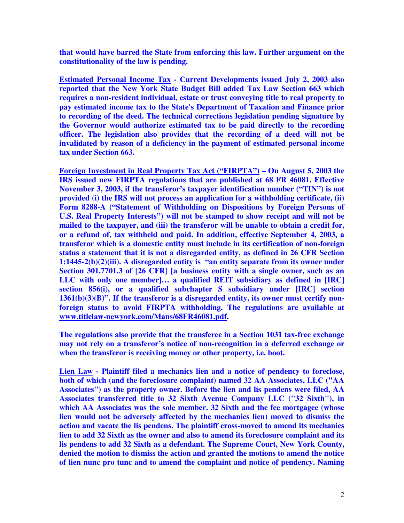**that would have barred the State from enforcing this law. Further argument on the constitutionality of the law is pending.** 

**Estimated Personal Income Tax - Current Developments issued July 2, 2003 also reported that the New York State Budget Bill added Tax Law Section 663 which requires a non-resident individual, estate or trust conveying title to real property to pay estimated income tax to the State's Department of Taxation and Finance prior to recording of the deed. The technical corrections legislation pending signature by the Governor would authorize estimated tax to be paid directly to the recording officer. The legislation also provides that the recording of a deed will not be invalidated by reason of a deficiency in the payment of estimated personal income tax under Section 663.** 

**Foreign Investment in Real Property Tax Act ("FIRPTA") – On August 5, 2003 the IRS issued new FIRPTA regulations that are published at 68 FR 46081. Effective November 3, 2003, if the transferor's taxpayer identification number ("TIN") is not provided (i) the IRS will not process an application for a withholding certificate, (ii) Form 8288-A ("Statement of Withholding on Dispositions by Foreign Persons of U.S. Real Property Interests") will not be stamped to show receipt and will not be mailed to the taxpayer, and (iii) the transferor will be unable to obtain a credit for, or a refund of, tax withheld and paid. In addition, effective September 4, 2003, a transferor which is a domestic entity must include in its certification of non-foreign status a statement that it is not a disregarded entity, as defined in 26 CFR Section 1:1445-2(b)(2)(iii). A disregarded entity is "an entity separate from its owner under Section 301.7701.3 of [26 CFR] [a business entity with a single owner, such as an LLC with only one member]… a qualified REIT subsidiary as defined in [IRC] section 856(i), or a qualified subchapter S subsidiary under [IRC] section 1361(b)(3)(B)". If the transferor is a disregarded entity, its owner must certify nonforeign status to avoid FIRPTA withholding. The regulations are available at www.titlelaw-newyork.com/Mans/68FR46081.pdf.** 

**The regulations also provide that the transferee in a Section 1031 tax-free exchange may not rely on a transferor's notice of non-recognition in a deferred exchange or when the transferor is receiving money or other property, i.e. boot.** 

**Lien Law - Plaintiff filed a mechanics lien and a notice of pendency to foreclose, both of which (and the foreclosure complaint) named 32 AA Associates, LLC ("AA Associates") as the property owner. Before the lien and lis pendens were filed, AA Associates transferred title to 32 Sixth Avenue Company LLC ("32 Sixth"), in which AA Associates was the sole member. 32 Sixth and the fee mortgagee (whose lien would not be adversely affected by the mechanics lien) moved to dismiss the action and vacate the lis pendens. The plaintiff cross-moved to amend its mechanics lien to add 32 Sixth as the owner and also to amend its foreclosure complaint and its lis pendens to add 32 Sixth as a defendant. The Supreme Court, New York County, denied the motion to dismiss the action and granted the motions to amend the notice of lien nunc pro tunc and to amend the complaint and notice of pendency. Naming**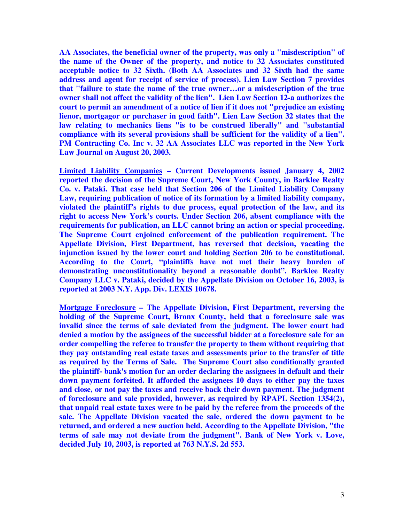**AA Associates, the beneficial owner of the property, was only a "misdescription" of the name of the Owner of the property, and notice to 32 Associates constituted acceptable notice to 32 Sixth. (Both AA Associates and 32 Sixth had the same address and agent for receipt of service of process). Lien Law Section 7 provides that "failure to state the name of the true owner…or a misdescription of the true owner shall not affect the validity of the lien". Lien Law Section 12-a authorizes the court to permit an amendment of a notice of lien if it does not "prejudice an existing lienor, mortgagor or purchaser in good faith". Lien Law Section 32 states that the law relating to mechanics liens "is to be construed liberally" and "substantial compliance with its several provisions shall be sufficient for the validity of a lien". PM Contracting Co. Inc v. 32 AA Associates LLC was reported in the New York Law Journal on August 20, 2003.** 

**Limited Liability Companies – Current Developments issued January 4, 2002 reported the decision of the Supreme Court, New York County, in Barklee Realty Co. v. Pataki. That case held that Section 206 of the Limited Liability Company Law, requiring publication of notice of its formation by a limited liability company, violated the plaintiff's rights to due process, equal protection of the law, and its right to access New York's courts. Under Section 206, absent compliance with the requirements for publication, an LLC cannot bring an action or special proceeding. The Supreme Court enjoined enforcement of the publication requirement. The Appellate Division, First Department, has reversed that decision, vacating the injunction issued by the lower court and holding Section 206 to be constitutional. According to the Court, "plaintiffs have not met their heavy burden of demonstrating unconstitutionality beyond a reasonable doubt". Barklee Realty Company LLC v. Pataki, decided by the Appellate Division on October 16, 2003, is reported at 2003 N.Y. App. Div. LEXIS 10678.** 

**Mortgage Foreclosure – The Appellate Division, First Department, reversing the holding of the Supreme Court, Bronx County, held that a foreclosure sale was invalid since the terms of sale deviated from the judgment. The lower court had denied a motion by the assignees of the successful bidder at a foreclosure sale for an order compelling the referee to transfer the property to them without requiring that they pay outstanding real estate taxes and assessments prior to the transfer of title as required by the Terms of Sale. The Supreme Court also conditionally granted the plaintiff- bank's motion for an order declaring the assignees in default and their down payment forfeited. It afforded the assignees 10 days to either pay the taxes and close, or not pay the taxes and receive back their down payment. The judgment of foreclosure and sale provided, however, as required by RPAPL Section 1354(2), that unpaid real estate taxes were to be paid by the referee from the proceeds of the sale. The Appellate Division vacated the sale, ordered the down payment to be returned, and ordered a new auction held. According to the Appellate Division, "the terms of sale may not deviate from the judgment". Bank of New York v. Love, decided July 10, 2003, is reported at 763 N.Y.S. 2d 553.**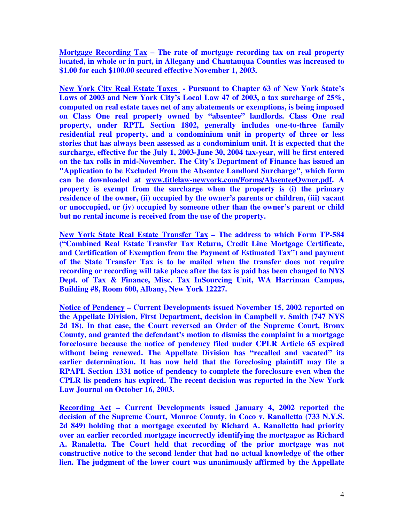**Mortgage Recording Tax – The rate of mortgage recording tax on real property located, in whole or in part, in Allegany and Chautauqua Counties was increased to \$1.00 for each \$100.00 secured effective November 1, 2003.** 

**New York City Real Estate Taxes - Pursuant to Chapter 63 of New York State's Laws of 2003 and New York City's Local Law 47 of 2003, a tax surcharge of 25%, computed on real estate taxes net of any abatements or exemptions, is being imposed on Class One real property owned by "absentee" landlords. Class One real property, under RPTL Section 1802, generally includes one-to-three family residential real property, and a condominium unit in property of three or less stories that has always been assessed as a condominium unit. It is expected that the surcharge, effective for the July 1, 2003-June 30, 2004 tax-year, will be first entered on the tax rolls in mid-November. The City's Department of Finance has issued an "Application to be Excluded From the Absentee Landlord Surcharge", which form can be downloaded at www.titlelaw-newyork.com/Forms/AbsenteeOwner.pdf. A property is exempt from the surcharge when the property is (i) the primary residence of the owner, (ii) occupied by the owner's parents or children, (iii) vacant or unoccupied, or (iv) occupied by someone other than the owner's parent or child but no rental income is received from the use of the property.** 

**New York State Real Estate Transfer Tax – The address to which Form TP-584 ("Combined Real Estate Transfer Tax Return, Credit Line Mortgage Certificate, and Certification of Exemption from the Payment of Estimated Tax") and payment of the State Transfer Tax is to be mailed when the transfer does not require recording or recording will take place after the tax is paid has been changed to NYS Dept. of Tax & Finance, Misc. Tax InSourcing Unit, WA Harriman Campus, Building #8, Room 600, Albany, New York 12227.** 

**Notice of Pendency – Current Developments issued November 15, 2002 reported on the Appellate Division, First Department, decision in Campbell v. Smith (747 NYS 2d 18). In that case, the Court reversed an Order of the Supreme Court, Bronx County, and granted the defendant's motion to dismiss the complaint in a mortgage foreclosure because the notice of pendency filed under CPLR Article 65 expired without being renewed. The Appellate Division has "recalled and vacated" its earlier determination. It has now held that the foreclosing plaintiff may file a RPAPL Section 1331 notice of pendency to complete the foreclosure even when the CPLR lis pendens has expired. The recent decision was reported in the New York Law Journal on October 16, 2003.** 

**Recording Act – Current Developments issued January 4, 2002 reported the decision of the Supreme Court, Monroe County, in Coco v. Ranalletta (733 N.Y.S. 2d 849) holding that a mortgage executed by Richard A. Ranalletta had priority over an earlier recorded mortgage incorrectly identifying the mortgagor as Richard A. Ranaletta. The Court held that recording of the prior mortgage was not constructive notice to the second lender that had no actual knowledge of the other lien. The judgment of the lower court was unanimously affirmed by the Appellate**